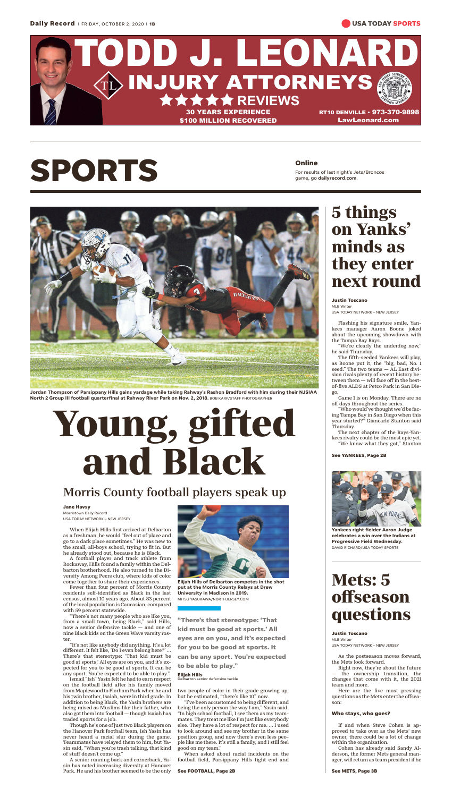## **SPORTS Online**



When Elijah Hills first arrived at Delbarton as a freshman, he would "feel out of place and go to a dark place sometimes." He was new to the small, all-boys school, trying to fit in. But he already stood out, because he is Black.

A football player and track athlete from Rockaway, Hills found a family within the Delbarton brotherhood. He also turned to the Diversity Among Peers club, where kids of color come together to share their experiences.

Fewer than four percent of Morris County residents self-identified as Black in the last census, almost 10 years ago. About 83 percent of the local population is Caucasian, compared with 59 percent statewide.

"There's not many people who are like you, from a small town, being Black," said Hills, now a senior defensive tackle — and one of nine Black kids on the Green Wave varsity roster.

"It's not like anybody did anything. It's a lot different. It felt like, 'Do I even belong here?' ... There's that stereotype: 'That kid must be good at sports.' All eyes are on you, and it's expected for you to be good at sports. It can be any sport. You're expected to be able to play."

Ismail "Ish" Yasin felt he had to earn respect on the football field after his family moved from Maplewood to Florham Park when he and his twin brother, Isaiah, were in third grade. In addition to being Black, the Yasin brothers are being raised as Muslims like their father, who also got them into football — though Isaiah has traded sports for a job.

Though he's one of just two Black players on the Hanover Park football team, Ish Yasin has never heard a racial slur during the game. Teammates have relayed them to him, but Yasin said, "When you're trash talking, that kind of stuff doesn't come up."

A senior running back and cornerback, Yasin has noted increasing diversity at Hanover Park. He and his brother seemed to be the only two people of color in their grade growing up, but he estimated, "there's like 10" now.

"I've been accustomed to being different, and being the only person the way I am," Yasin said. "In high school football, I see them as my teammates. They treat me like I'm just like everybody else. They have a lot of respect for me. ... I used to look around and see my brother in the same position group, and now there's even less people like me there. It's still a family, and I still feel good on my team."

When asked about racial incidents on the football field, Parsippany Hills tight end and

**Jordan Thompson of Parsippany Hills gains yardage while taking Rahway's Rashon Bradford with him during their NJSIAA North 2 Group III football quarterfinal at Rahway River Park on Nov. 2, 2018.** BOB KARP/STAFF PHOTOGRAPHER

# **Young, gifted and Black**

### Morris County football players speak up

#### **Jane Havsy**

Morristown Daily Record USA TODAY NETWORK – NEW JERSEY



**Elijah Hills of Delbarton competes in the shot put at the Morris County Relays at Drew University in Madison in 2019.** MITSU YASUKAWA/NORTHJERSEY.COM

**"There's that stereotype: 'That kid must be good at sports.' All eyes are on you, and it's expected for you to be good at sports. It can be any sport. You're expected to be able to play."**

#### **Elijah Hills**

Delbarton senior defensive tackle

#### **See FOOTBALL, Page 2B**